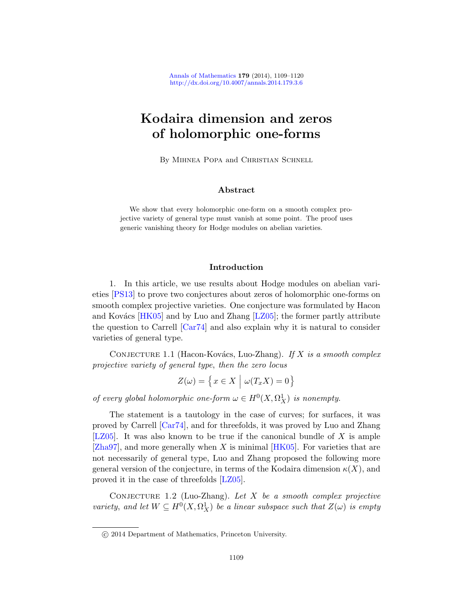# Kodaira dimension and zeros of holomorphic one-forms

By Mihnea Popa and Christian Schnell

### Abstract

We show that every holomorphic one-form on a smooth complex projective variety of general type must vanish at some point. The proof uses generic vanishing theory for Hodge modules on abelian varieties.

## Introduction

<span id="page-0-1"></span>1. In this article, we use results about Hodge modules on abelian varieties [PS13] to prove two conjectures about zeros of holomorphic one-forms on smooth complex projective varieties. One conjecture was formulated by Hacon and Kovács  $[HK05]$  and by Luo and Zhang  $[LZ05]$ ; the former partly attribute the question to Carrell [Car74] and also explain why it is natural to consider varieties of general type.

CONJECTURE 1.1 (Hacon-Kovács, Luo-Zhang). If X is a smooth complex [pr](#page-10-0)ojective variety of general type, then the zero locus

$$
Z(\omega) = \left\{ x \in X \mid \omega(T_x X) = 0 \right\}
$$

of every global holomorphic one-form  $\omega \in H^0(X, \Omega_X^1)$  is nonempty.

<span id="page-0-0"></span>The st[ateme](#page-11-0)nt is a tautology in the case of curves; for surfaces, it was proved by Carrell [Car74], and for threefolds, it was proved by Luo and Zhang [ $LZ05$ ]. It was also known to be true if the canonical bundle of X is ample  $[Zha97]$ , and more generally when X is minimal  $[HK05]$ . For varieties that are not necessarily of general type, Luo and Zhang proposed the following more general version of the conjecture, in terms of the Kodaira dimension  $\kappa(X)$ , and proved it in the case of threefolds [LZ05].

CONJECTURE 1.2 (Luo-Zhang). Let  $X$  be a smooth complex projective variety, and let  $W \subseteq H^0(X, \Omega_X^1)$  be a linear subspace such that  $Z(\omega)$  is empty

c 2014 Department of Mathematics, Princeton University.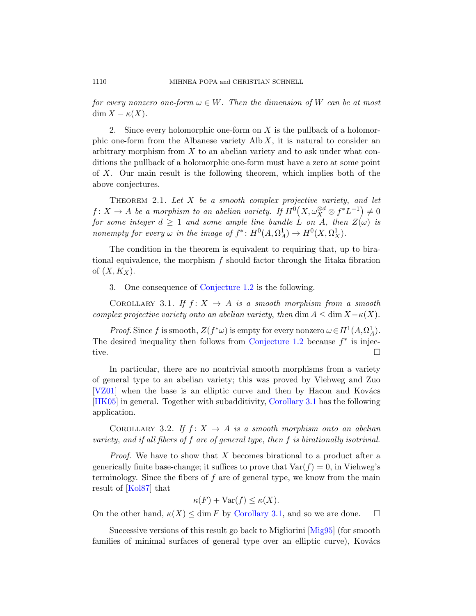for every nonzero one-form  $\omega \in W$ . Then the dimension of W can be at most  $\dim X - \kappa(X)$ .

<span id="page-1-1"></span>2. Since every holomorphic one-form on  $X$  is the pullback of a holomorphic one-form from the Albanese variety  $\mathrm{Alb}\,X$ , it is natural to consider an arbitrary morphism from  $X$  to an abelian variety and to ask under what conditions the pullback of a holomorphic one-form must have a zero at some point of X. Our main result is the following theorem, which implies both of the above conjectures.

THEOREM 2.1. Let  $X$  be a smooth complex projective variety, and let  $f: X \to A$  be a morphism to an abelian variety. If  $H^0(X, \omega_X^{\otimes d} \otimes f^*L^{-1}) \neq 0$ for s[ome integer](#page-0-0)  $d \geq 1$  and some ample line bundle  $\hat{L}$  on A, then  $Z(\omega)$  is nonempty for every  $\omega$  in the image of  $f^*: H^0(A, \Omega_A^1) \to H^0(X, \Omega_X^1)$ .

<span id="page-1-0"></span>The condition in the theorem is equivalent to requiring that, up to birational equivalence, the morphism  $f$  should factor through the Iitaka fibration of  $(X, K_X)$ .

3. One consequence of Conjecture 1.2 is the following.

COROLLARY 3.1. If  $f: X \rightarrow A$  is a smooth morphism from a smooth complex projective variety onto an abelian variety, then dim  $A \leq \dim X - \kappa(X)$ .

*Proof.* Since f is smooth,  $Z(f^*\omega)$  is empty for every nonzero  $\omega \in H^1(A,\Omega_A^1)$ . The desired inequality [then follows fr](#page-1-0)om Conjecture  $1.2$  because  $f^*$  is injective.

In particular, there are no nontrivial smooth morphisms from a variety of general type to an abelian variety; this was proved by Viehweg and Zuo  $[VZ01]$  when the base is an elliptic curve and then by Hacon and Kovács [HK05] in general. Together with subadditivity, Corollary 3.1 has the following application.

COROLLARY 3.2. If  $f: X \rightarrow A$  is a smooth morphism onto an abelian variety, and if [all fibers of](#page-1-0) f are of general type, then f is birationally isotrivial.

*Proof.* We have to show that X becomes birational to a product after a generically finite base-change; it su[ffices to](#page-11-1) prove that  $\text{Var}(f) = 0$ , in Viehweg's terminology. Since the fibers of  $f$  are of general type, we know from the main result of [Kol87] that

$$
\kappa(F) + \text{Var}(f) \le \kappa(X).
$$

On the other hand,  $\kappa(X) \leq \dim F$  by Corollary 3.1, and so we are done.  $\square$ 

Successive versions of this result go back to Migliorini [Mig95] (for smooth families of minimal surfaces of general type over an elliptic curve), Kovács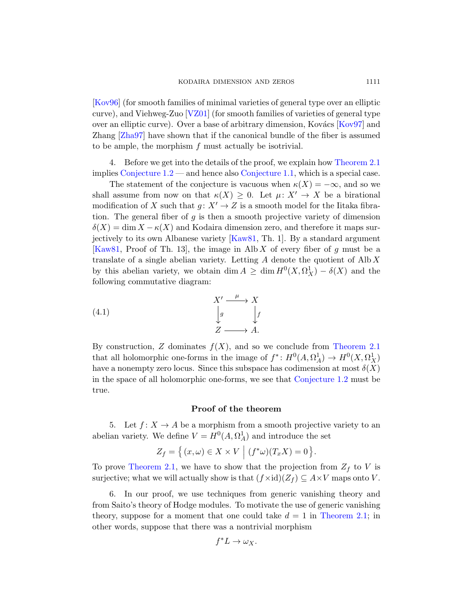[Kov96] (for smo[oth families of m](#page-0-1)inimal va[rieties of gene](#page-1-1)ral type over an elliptic curve), and Viehweg-Zuo [VZ01] (for smooth families of varieties of general type over an elliptic curve). Over a base of arbitrary dimension, Kovács [Kov97] and Zhang [Zha97] have shown that if the canonical bundle of the fiber is assumed to be ample, the morphism f must actually be isotrivial.

4. Before we get into the details of the proof, we explain how Theorem 2.1 implies Conje[cture 1.2](#page-11-2) — and hence also Conjecture 1.1, which is a special case.

The statement of the conjecture is vacuous when  $\kappa(X) = -\infty$ , and so we shall assume from now on that  $\kappa(X) \geq 0$ . Let  $\mu: X' \to X$  be a birational modification of X such that  $g: X' \to Z$  is a smooth model for the Iitaka fibration. The general fiber of  $g$  is then a smooth projective variety of dimension  $\delta(X) = \dim X - \kappa(X)$  and Kodaira dimension zero, and therefore it maps surjectively to its own Albanese variety [Kaw81, Th. 1]. By a standard argument [Kaw81, Proof of Th. 13], the image in Alb X of every fiber of g must be a translate of a single abelian variety. Letting  $A$  denote the quotient of  $A \text{lb } X$ by this abelian variety, we obtain  $\dim A \geq \dim H^0(X, \Omega_X^1) - \delta(X)$  $\dim A \geq \dim H^0(X, \Omega_X^1) - \delta(X)$  $\dim A \geq \dim H^0(X, \Omega_X^1) - \delta(X)$  and the following commutative diagram:

(4.1) 
$$
X' \xrightarrow{\mu} X
$$

$$
\downarrow g \qquad \downarrow f
$$

$$
Z \longrightarrow A.
$$

By construction, Z dominates  $f(X)$ , and so we conclude from Theorem 2.1 that all holomorphic one-forms in the image of  $f^*: H^0(A, \Omega_A^1) \to H^0(X, \Omega_X^1)$ have a nonempty zero locus. Since this subspace has codimension at most  $\delta(X)$ in the space of all holomorphic one-forms, we see that Conjecture 1.2 must be true.

#### Proof of the theorem

5. Let  $f: X \to A$  be a morphism from a smooth projective variety to an abelian variety. We define  $V = H^0(A, \Omega_A^1)$  and introduce the set

$$
Z_f = \left\{ (x,\omega) \in X \times V \mid (f^*\omega)(T_x X) = 0 \right\}.
$$

To prove Theorem 2.1, we have to show that the projection from  $Z_f$  to V is surjective; what we will actually show is that  $(f \times id)(Z_f) \subseteq A \times V$  maps onto V.

6. In our proof, we use techniques from generic vanishing theory and from Saito's theory of Hodge modules. To motivate the use of generic vanishing theory, suppose for a moment that one could take  $d = 1$  in Theorem 2.1; in other words, suppose that there was a nontrivial morphism

$$
f^*L \to \omega_X.
$$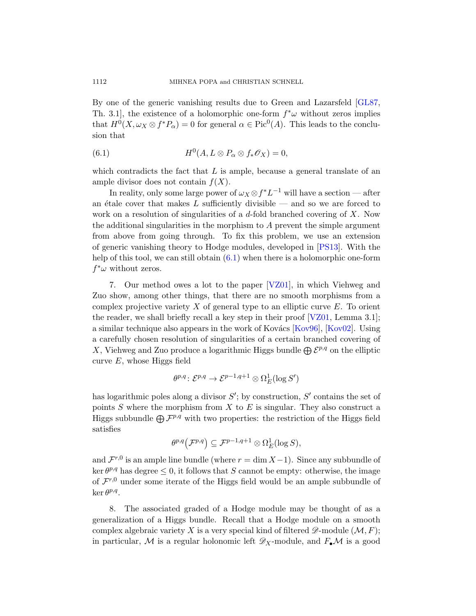<span id="page-3-0"></span>By one of the generic vanishing results due to Green and Lazarsfeld [GL87, Th. 3.1, the existence of a holomorphic one-form  $f^*\omega$  without zeros implies that  $H^0(X, \omega_X \otimes f^*P_\alpha) = 0$  for general  $\alpha \in Pic^0(A)$ . This leads to the conclusion that

(6.1) 
$$
H^{0}(A, L \otimes P_{\alpha} \otimes f_{*} \mathscr{O}_{X}) = 0,
$$

which contradicts the fact that  $L$  is ample, because a general translate of an ample divisor does not contain  $f(X)$ .

<span id="page-3-1"></span>In realit[y, on](#page-3-0)ly some large power of  $\omega_X \otimes f^* L^{-1}$  will have a section — after an étale cover that makes  $L$  sufficiently divisible — and so we are forced to work on a resolution of [singula](#page-11-3)rities of a  $d$ -fold branched covering of  $X$ . Now the additional singularities in the morphism to  $A$  prevent the simple argument from above from going through. To fix this problem, we use an extension of generic vanishing theory to Hod[ge mod](#page-11-3)ules, developed in [PS13]. With the help of this tool, we can still obtain  $(6.1)$  [when t](#page-11-5)here is a holomorphic one-form  $f^*\omega$  without zeros.

7. Our method owes a lot to the paper [VZ01], in which Viehweg and Zuo show, among other things, that there are no smooth morphisms from a complex projective variety  $X$  of general type to an elliptic curve  $E$ . To orient the reader, we shall briefly recall a key step in their proof  $[VZ01, \text{Lemma } 3.1]$ ; a similar technique also appears in the work of Kovács  $[Kov96]$ ,  $[Kov02]$ . Using a carefully chosen resolution of singularities of a certain branched covering of X, Viehweg and Zuo produce a logarithmic Higgs bundle  $\bigoplus \mathcal{E}^{p,q}$  on the elliptic curve  $E$ , whose Higgs field

$$
\theta^{p,q}\colon \mathcal{E}^{p,q} \to \mathcal{E}^{p-1,q+1}\otimes \Omega^1_E(\log S')
$$

has logarithmic poles along a divisor  $S'$ ; by construction,  $S'$  contains the set of points  $S$  where the morphism from  $X$  to  $E$  is singular. They also construct a Higgs subbundle  $\bigoplus \mathcal{F}^{p,q}$  with two properties: the restriction of the Higgs field satisfies

$$
\theta^{p,q}\big(\mathcal{F}^{p,q}\big) \subseteq \mathcal{F}^{p-1,q+1} \otimes \Omega^1_E(\log S),
$$

and  $\mathcal{F}^{r,0}$  is an ample line bundle (where  $r = \dim X - 1$ ). Since any subbundle of ker  $\theta^{p,q}$  has degree  $\leq 0$ , it follows that S cannot be empty: otherwise, the image of  $\mathcal{F}^{r,0}$  under some iterate of the Higgs field would be an ample subbundle of  $\ker \theta^{p,q}$ .

8. The associated graded of a Hodge module may be thought of as a generalization of a Higgs bundle. Recall that a Hodge module on a smooth complex algebraic variety X is a very special kind of filtered  $\mathscr{D}\text{-module }(\mathcal{M}, F);$ in particular, M is a regular holonomic left  $\mathscr{D}_X$ -module, and  $F_{\bullet} \mathcal{M}$  is a good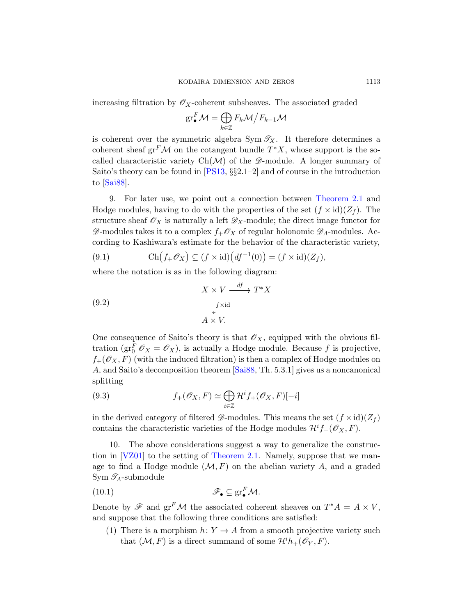increas[ing filt](#page-11-6)ration by  $\mathscr{O}_X$ -coherent subsheaves. The associated graded

$$
\mathrm{gr}^F_\bullet \mathcal{M} = \bigoplus_{k \in \mathbb{Z}} F_k \mathcal{M} \big/ F_{k-1} \mathcal{M}
$$

is coherent over the symmetric alge[bra Sym](#page-1-1)  $\mathscr{T}_X$ . It therefore determines a coherent sheaf  $gr^F{\mathcal M}$  on the cotangent bundle  $T^*X$ , whose support is the socalled characteristic variety  $Ch(\mathcal{M})$  of the  $\mathscr{D}\text{-module}$ . A longer summary of Saito's theory can be found in [PS13, §§2.1–2] and of course in the introduction to [Sai88].

9. For later use, we point out a connection between Theorem 2.1 and Hodge modules, having to do with the properties of the set  $(f \times id)(Z_f)$ . The structure sheaf  $\mathscr{O}_X$  is naturally a left  $\mathscr{D}_X$ -module; the direct image functor for  $\mathscr{D}$ -modules takes it to a complex  $f_+\mathscr{O}_X$  of regular holonomic  $\mathscr{D}_A$ -modules. According to Kashiwara's estimate for the behavior of the characteristic variety,

<span id="page-4-2"></span>(9.1) 
$$
\operatorname{Ch}(f_+\mathscr{O}_X) \subseteq (f \times \operatorname{id})(df^{-1}(0)) = (f \times \operatorname{id})(Z_f),
$$

where the notation is as in the following diagram:

(9.2) 
$$
X \times V \xrightarrow{df} T^*X
$$

$$
\downarrow f \times id
$$

$$
A \times V.
$$

<span id="page-4-1"></span>One consequence of Saito's theory is that  $\mathscr{O}_X$ , equipped with the obvious filtration ( $gr_0^F$   $\mathcal{O}_X = \mathcal{O}_X$ ), is actually a Hodge module. Because f is projective,  $f_+(\mathscr{O}_X,F)$  (with the induced filtration) is then a complex of Hodge modules on A, and Saito's decomposition theorem [Sai88, Th. 5.3.1] gives us a noncanonical splitting

(9.3) 
$$
f_+(\mathscr{O}_X,F) \simeq \bigoplus_{i\in\mathbb{Z}} \mathcal{H}^i f_+(\mathscr{O}_X,F)[-i]
$$

<span id="page-4-3"></span>in the derived category of filtered  $\mathscr{D}$ -modules. This means the set  $(f \times id)(Z_f)$ contains the characteristic varieties of the Hodge modules  $\mathcal{H}^i f_+(\mathcal{O}_X, F)$ .

<span id="page-4-0"></span>10. The above considerations suggest a way to generalize the construction in [VZ01] to the setting of Theorem 2.1. Namely, suppose that we manage to find a Hodge module  $(M, F)$  on the abelian variety A, and a graded Sym  $\mathscr{T}_A$ -submodule

$$
\mathscr{F}_{\bullet} \subseteq \operatorname{gr}_{\bullet}^{F} \mathcal{M}.
$$

Denote by  $\mathscr{F}$  and  $gr^F \mathcal{M}$  the associated coherent sheaves on  $T^*A = A \times V$ , and suppose that the following three conditions are satisfied:

(1) There is a morphism  $h: Y \to A$  from a smooth projective variety such that  $(\mathcal{M}, F)$  is a direct summand of some  $\mathcal{H}^i h_+(\mathscr{O}_Y, F)$ .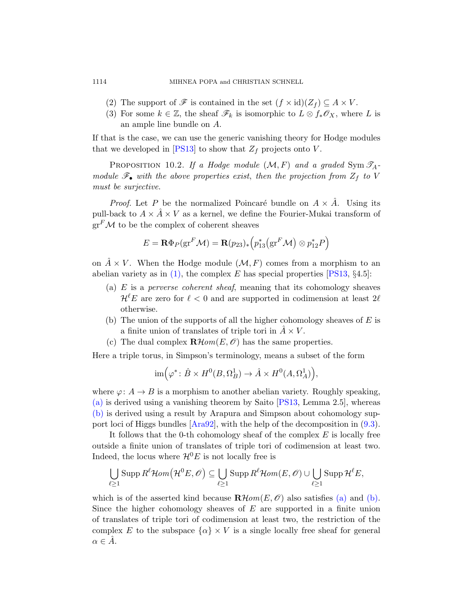- <span id="page-5-3"></span><span id="page-5-2"></span>(2) The support of  $\mathscr F$  is contained in the set  $(f \times id)(Z_f) \subseteq A \times V$ .
- (3) For some  $k \in \mathbb{Z}$ , the sheaf  $\mathscr{F}_k$  is isomorphic to  $L \otimes f_* \mathscr{O}_X$ , where L is an ample line bundle on A.

<span id="page-5-4"></span>If that is the case, we can use the generic vanishing theory for Hodge modules that we developed in [PS13] to show that  $Z_f$  projects onto V.

PROPOSITION 10.2. If a Hodge module  $(M, F)$  and a graded Sym  $\mathscr{T}_A$ module  $\mathscr{F}_{\bullet}$  with the above properties exist, then the projection from  $Z_f$  to V must be surjective.

<span id="page-5-0"></span>*Proof.* Let P be the normalized P[oincar](#page-11-6)é bundle on  $A \times \hat{A}$ . Using its [p](#page-4-0)ull-back to  $A \times \hat{A} \times V$  as a kernel, we define the Fourier-Mukai transform of  $gr<sup>F</sup>M$  to be the complex of coherent sheaves

$$
E = \mathbf{R} \Phi_P(\mathrm{gr}^F \mathcal{M}) = \mathbf{R}(p_{23})_* \Big( p_{13}^* \big( \mathrm{gr}^F \mathcal{M} \big) \otimes p_{12}^* P \Big)
$$

<span id="page-5-1"></span>on  $A \times V$ . When the Hodge module  $(\mathcal{M}, F)$  comes from a morphism to an abelian variety as in  $(1)$ , the complex E has special properties [PS13, §4.5]:

- (a)  $E$  is a *perverse coherent sheaf*, meaning that its cohomology sheaves  $\mathcal{H}^{\ell}E$  are zero for  $\ell < 0$  and are supported in codimension at least  $2\ell$ otherwise.
- (b) The union of the supports of all the higher cohomology sheaves of  $E$  is a finite union of tr[anslate](#page-11-6)s of triple tori in  $\ddot{A} \times V$ .
- (c) The dual complex  $\mathbf{R}\mathcal{H}\text{om}(E,\mathscr{O})$  has the same properties.

He[re a trip](#page-10-2)le torus, in Simpson's terminology, me[ans](#page-4-1) a subset of the form

$$
\operatorname{im} \Bigl( \varphi^* \colon \hat{B} \times H^0(B, \Omega^1_B) \to \hat{A} \times H^0(A, \Omega^1_A) \Bigr),
$$

where  $\varphi: A \to B$  is a morphism to another abelian variety. Roughly speaking, (a) is derived using a vanishing theorem by Saito [PS13, Lemma 2.5], whereas (b) is derived using a result by Arapura and Simpson about cohomology support loci of Higgs bundles [Ara92], with the help of the decomposition in (9.3).

It follows that the 0-th cohomology s[heaf](#page-5-0) of t[he co](#page-5-1)mplex  $E$  is locally free outside a finite union of translates of triple tori of codimension at least two. Indeed, the locus where  $\mathcal{H}^0E$  is not locally free is

$$
\bigcup_{\ell \geq 1} \operatorname{Supp} R^{\ell} \mathcal{H}om(\mathcal{H}^{0} E, \mathscr{O}) \subseteq \bigcup_{\ell \geq 1} \operatorname{Supp} R^{\ell} \mathcal{H}om(E, \mathscr{O}) \cup \bigcup_{\ell \geq 1} \operatorname{Supp} \mathcal{H}^{\ell} E,
$$

which is of the asserted kind because  $\mathbf{R}$ *Hom*( $E, \mathcal{O}$ ) also satisfies (a) and (b). Since the higher cohomology sheaves of  $E$  are supported in a finite union of translates of triple tori of codimension at least two, the restriction of the complex E to the subspace  $\{\alpha\} \times V$  is a single locally free sheaf for general  $\alpha \in A$ .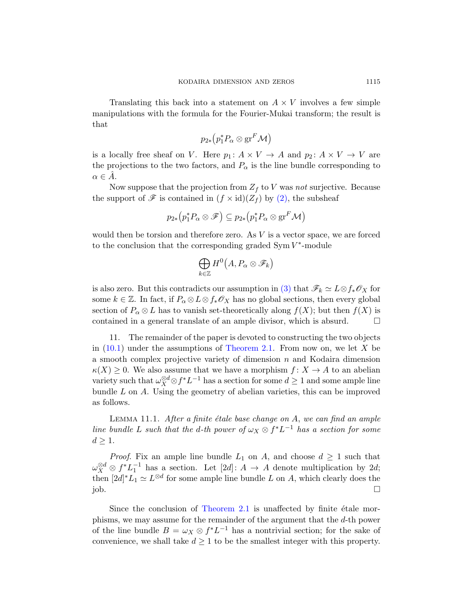Translating this back into a statement on  $A \times V$  involves a few simple manipulations with the formula for the Fourier-Mukai transform; the result is that

$$
p_{2*}\big(p_1^*P_\alpha\otimes{\rm gr}^F{\mathcal M}\big)
$$

is a locally free sheaf on V. Here  $p_1: A \times V \to A$  and  $p_2: A \times V \to V$  are the projections to the two factors, and  $P_{\alpha}$  is the line bundle corresponding to  $\alpha \in A$ .

Now suppose that the projection from  $Z_f$  to V was not surjective. Because the support of  $\mathscr F$  is contained in  $(f \times id)(Z_f)$  by  $(2)$ , the subsheaf

$$
p_{2*}\big(p_1^*P_\alpha \otimes \mathscr{F}\big) \subseteq p_{2*}\big(p_1^*P_\alpha \otimes \mathrm{gr}^F \mathcal{M}\big)
$$

would then be torsion and therefore zero. As V is a vector space, we are forced to the conclusion that the corresponding graded  $Sym V^*$ -module

$$
\bigoplus_{k\in\mathbb{Z}}H^0\bigl(A,P_\alpha\otimes\mathscr{F}_k\bigr)
$$

is also zero. [But this contr](#page-1-1)adicts our assumption in (3) that  $\mathscr{F}_k \simeq L \otimes f_* \mathscr{O}_X$  for some  $k \in \mathbb{Z}$ . In fact, if  $P_{\alpha} \otimes L \otimes f_* \mathcal{O}_X$  has no global sections, then every global section of  $P_{\alpha} \otimes L$  has to vanish set-theoretically along  $f(X)$ ; but then  $f(X)$  is contained in a general translate of an ample divisor, which is absurd.  $\Box$ 

11. The remainder of the paper is devoted to constructing the two objects in  $(10.1)$  under the assumptions of Theorem 2.1. From now on, we let X be a smooth complex projective variety of dimension  $n$  and Kodaira dimension  $\kappa(X) \geq 0$ . We also assume that we have a morphism  $f: X \to A$  to an abelian variety such that  $\omega_X^{\otimes d} \otimes f^* L^{-1}$  has a section for some  $d \geq 1$  and some ample line bundle  $L$  on  $A$ . Using the geometry of abelian varieties, this can be improved as follows.

LEMMA 11.1. After a finite étale base change on  $A$ , we can find an ample line bundle L such that the d-th power of  $\omega_X \otimes f^* L^{-1}$  has a section for some  $d \geq 1$ .

*Proof.* Fix an ample line bundle  $L_1$  on A, and choose  $d \geq 1$  such that  $\omega_X^{\otimes d} \otimes f^* L_1^{-1}$  has a section. Let  $[2d] : A \to A$  denote multiplication by 2d; then  $[2d]^*L_1 \simeq L^{\otimes d}$  for some ample line bundle L on A, which clearly does the  $j$ ob.  $\Box$ 

Since the conclusion of Theorem 2.1 is unaffected by finite  $\acute{e}$ tale morphisms, we may assume for the remainder of the argument that the d-th power of the line bundle  $B = \omega_X \otimes f^* L^{-1}$  has a nontrivial section; for the sake of convenience, we shall take  $d \geq 1$  to be the smallest integer with this property.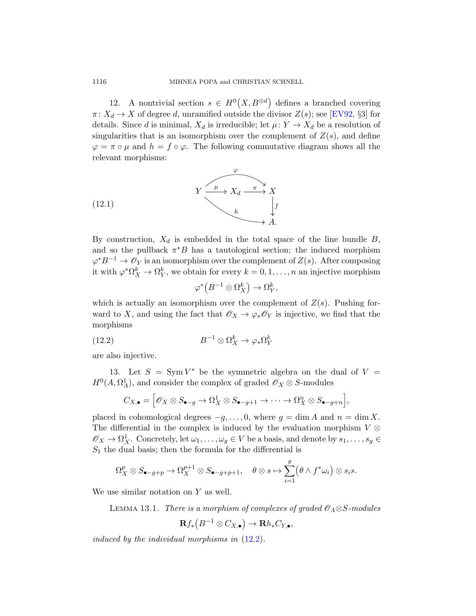12. A nontrivial section  $s \in H^0(X, B^{\otimes d})$  defines a branched covering  $\pi: X_d \to X$  of degree d, unramified outside the divisor  $Z(s)$ ; see [EV92, §3] for details. Since d is minimal,  $X_d$  is irreducible; let  $\mu: Y \to X_d$  be a resolution of singularities that is an isomorphism over the complement of  $Z(s)$ , and define  $\varphi = \pi \circ \mu$  and  $h = f \circ \varphi$ . The following commutative diagram shows all the relevant morphisms:



<span id="page-7-0"></span>By construction,  $X_d$  is embedded in the total space of the line bundle  $B$ , and so the pullback  $\pi^*B$  has a tautological section; the induced morphism  $\varphi^* B^{-1} \to \mathscr{O}_Y$  is an isomorphism over the complement of  $Z(s)$ . After composing it with  $\varphi^* \Omega^k_X \to \Omega^k_Y$ , we obtain for every  $k = 0, 1, ..., n$  an injective morphism

$$
\varphi^* \left( B^{-1} \otimes \Omega_X^k \right) \to \Omega_Y^k,
$$

which is actually an isomorphism over the complement of  $Z(s)$ . Pushing forward to X, and using the fact that  $\mathscr{O}_X \to \varphi_* \mathscr{O}_Y$  is injective, we find that the morphisms

(12.2) 
$$
B^{-1} \otimes \Omega_X^k \to \varphi_* \Omega_Y^k
$$

are also injective.

13. Let  $S = Sym V^*$  be the symmetric algebra on the dual of  $V =$  $H^0(A, \Omega_A^1)$ , and consider the complex of graded  $\mathscr{O}_X \otimes S$ -modules

$$
C_{X,\bullet} = \Big[\mathscr{O}_X \otimes S_{\bullet-g} \to \Omega^1_X \otimes S_{\bullet-g+1} \to \cdots \to \Omega^n_X \otimes S_{\bullet-g+n}\Big],
$$

<span id="page-7-1"></span>placed in cohomological degrees  $-g, \ldots, 0$ , where  $g = \dim A$  and  $n = \dim X$ . The differential in the complex is induced by the evaluation morphism  $V \otimes$  $\mathscr{O}_X \to \Omega^1_X$ . Concretely, let  $\omega_1, \ldots, \omega_g \in V$  be a basis, and denote by  $s_1, \ldots, s_g \in$  $S_1$  the dual basis; then the formula for the differential is

$$
\Omega^p_X \otimes S_{\bullet - g + p} \to \Omega^{p+1}_X \otimes S_{\bullet - g + p + 1}, \quad \theta \otimes s \mapsto \sum_{i=1}^g (\theta \wedge f^* \omega_i) \otimes s_i s.
$$

We use similar notation on  $Y$  as well.

LEMMA 13.1. There is a morphism of complexes of graded  $\mathcal{O}_A \otimes S$ -modules

$$
\mathbf{R} f_*\left(B^{-1}\otimes C_{X,\bullet}\right)\to \mathbf{R} h_*C_{Y,\bullet},
$$

induced by the individual morphisms in (12.2).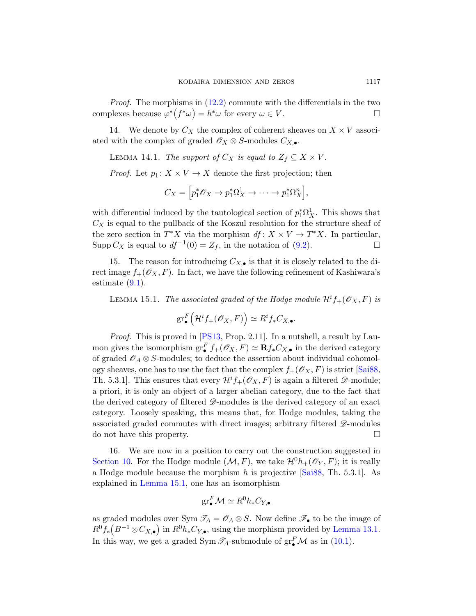Proof. The morphisms in (12.2) commute with the differentials in the two complexes because  $\varphi^*(f^*\omega) = h^*\omega$  for every  $\omega \in V$ .

14. We denote by  $C_X$  the complex of coherent sheaves on  $X \times V$  associated with the complex of graded  $\mathscr{O}_X \otimes S$ -modules  $C_{X,\bullet}$ .

LEMMA 14.1. The support of  $C_X$  is equal to  $Z_f \subseteq X \times V$ .

*Proof.* Let  $p_1: X \times V \to X$  [den](#page-4-2)ote the first projection; then

$$
C_X = \left[ p_1^* \mathcal{O}_X \to p_1^* \Omega_X^1 \to \cdots \to p_1^* \Omega_X^n \right],
$$

<span id="page-8-0"></span>with differential induced by the tautological section of  $p_1^*\Omega_X^1$ . This shows that  $C_X$  is equal to the pullback of the Koszul resolution for the structure sheaf of the zero section in  $T^*X$  via the morphism  $df: X \times V \to T^*X$ . In particular, Supp  $C_X$  is equal to  $df^{-1}(0) = Z_f$ , in the notation of (9.2).

15. The reason for introducing  $C_{X,\bullet}$  is that it is closely related to the direct i[mage](#page-11-6)  $f_+(\mathscr{O}_X, F)$ . In fact, we have the following refinement of Kashiwara's estimate  $(9.1)$ .

LEMMA 15.1. The associated graded of the [Hodge](#page-11-7) module  $\mathcal{H}^i f_+(\mathscr{O}_X,F)$  is

$$
\operatorname{gr}^F_{\bullet}\Big(\mathcal{H}^i f_+(\mathscr{O}_X,F)\Big)\simeq R^if_*C_{X,\bullet}.
$$

Proof. This is proved in [PS13, Prop. 2.11]. In a nutshell, a result by Laumon gives the isomorphism  $gr_{\bullet}^{F} f_{+}(\mathscr{O}_{X}, F) \simeq \mathbf{R} f_{*} C_{X,\bullet}$  in the derived category of graded  $\mathcal{O}_A \otimes S$ -modules; to deduce the assertion about individual cohomology sheaves, one has to use the fact that the complex  $f_+(\mathscr{O}_X,F)$  is strict [Sai88, Th. 5.3.1]. This ensures that every  $\mathcal{H}^i f_+(\mathcal{O}_X, F)$  is again a filtered  $\mathscr{D}$ -module; a priori, it is only an object of a larger abelian category, due to the fact that the derived category of filtered  $\mathscr{D}$ [-modu](#page-11-7)les is the derived category of an exact [cat](#page-8-0)egory. Loosely speaking, this means that, for Hodge modules, taking the associated graded commutes with direct images; arbitrary filtered  $\mathscr{D}\text{-modules}$ do not have this property.

16. We are now in a position to carry out the construction suggested in Section 10. For the Hodge module  $(M, F)$ , we take  $\mathcal{H}^0 h_+(\mathscr{O}_Y, F)$ ; it is really a Hodge module because the morphism h [is p](#page-4-3)rojective  $[Sai88, Th. 5.3.1]$ . As explained in Lemma 15.1, one has an isomorphism

$$
\mathrm{gr}^F_\bullet \mathcal{M} \simeq R^0 h_* C_{Y,\bullet}
$$

as graded modules over Sym  $\mathcal{I}_A = \mathcal{O}_A \otimes S$ . Now define  $\mathcal{F}_\bullet$  to be the image of  $R^0 f_* (B^{-1} \otimes C_{X,\bullet})$  in  $R^0 h_* C_{Y,\bullet}$ , using the morphism provided by Lemma 13.1. In this way, we get a graded Sym  $\mathscr{T}_A$ -submodule of  $gr^F_{\bullet} \mathcal{M}$  as in (10.1).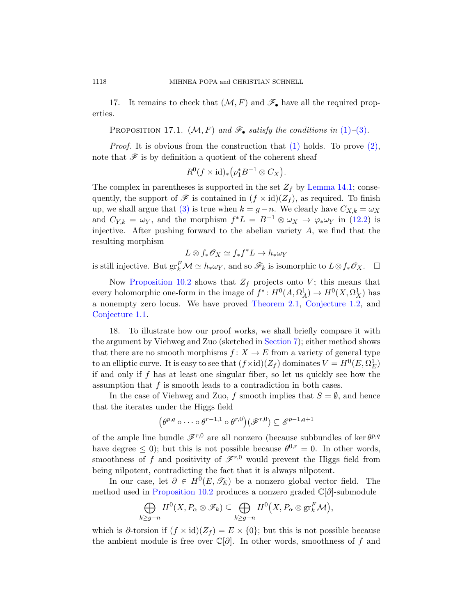17. It remains to check that  $(M, F)$  and  $\mathscr{F}_{\bullet}$  have all the required properties.

PROPOSITION 17.1.  $(M, F)$  and  $\mathscr{F}_{\bullet}$  satisfy the conditions in (1)–(3).

*Proof.* It is obvious from the construction that  $(1)$  holds. To prove  $(2)$ , note that  $\mathscr F$  is by definition a quotient of the [coher](#page-7-0)ent sheaf

$$
R^0(f \times id)_* \left( p_1^* B^{-1} \otimes C_X \right).
$$

The complex in parentheses is supported in the set  $Z_f$  by Lemma 14.1; consequently, the support of  $\mathscr F$  is contained in  $(f \times id)(Z_f)$ , as required. To finish up, we shall argue that (3) is true when  $k = g - n$ . We clearly have  $C_{X,k} = \omega_X$ [and](#page-5-4)  $C_{Y,k} = \omega_Y$ , and the morphism  $f^*L = B^{-1} \otimes \omega_X \to \varphi_* \omega_Y$  in (12.2) is injective. After pu[shing forward](#page-1-1) [to the abelian](#page-0-0) variety  $A$ , we find that the resulting morphism

$$
L\otimes f_*\mathscr{O}_X\simeq f_*f^*L\to h_*\omega_Y
$$

is still injective. But  $gr_k^F \mathcal{M} \simeq h_* \omega_Y$ , and so  $\mathscr{F}_k$  is isomorphic to  $L \otimes f_* \mathscr{O}_X$ .  $\Box$ 

Now Proposition 10.2 [show](#page-3-1)s that  $Z_f$  projects onto V; this means that every holomorphic one-form in the image of  $f^*: H^0(A, \Omega_A^1) \to H^0(X, \Omega_X^1)$  has a nonempty zero locus. We have proved Theorem 2.1, Conjecture 1.2, and Conjecture 1.1.

18. To illustrate how our proof works, we shall briefly compare it with the argument by Viehweg and Zuo (sketched in Section 7); either method shows that there are no smooth morphisms  $f: X \to E$  from a variety of general type to an elliptic curve. It is easy to see that  $(f \times id)(Z_f)$  dominates  $V = H^0(E, \Omega_E^1)$ if and only if  $f$  has at least one singular fiber, so let us quickly see how the assumption that  $f$  is smooth leads to a contradiction in both cases.

In the case of Viehweg and Zuo, f smooth implies that  $S = \emptyset$ , and hence that the iterates under the Higgs field

$$
\left(\theta^{p,q}\circ\cdots\circ\theta^{r-1,1}\circ\theta^{r,0}\right)(\mathscr{F}^{r,0})\subseteq\mathscr{E}^{p-1,q+1}
$$

of the ample line bundle  $\mathscr{F}^{r,0}$  are all nonzero (because subbundles of ker  $\theta^{p,q}$ have degree  $\leq 0$ ); but this is not possible because  $\theta^{0,r} = 0$ . In other words, smoothness of f and positivity of  $\mathscr{F}^{r,0}$  would prevent the Higgs field from being nilpotent, contradicting the fact that it is always nilpotent.

In our case, let  $\partial \in H^0(E, \mathscr{T}_E)$  be a nonzero global vector field. The method used in Proposition 10.2 produces a nonzero graded C[∂]-submodule

$$
\bigoplus_{k\ge g-n} H^0(X, P_\alpha \otimes \mathscr{F}_k) \subseteq \bigoplus_{k\ge g-n} H^0(X, P_\alpha \otimes \mathrm{gr}_k^F \mathcal{M}),
$$

which is  $\partial$ -torsion if  $(f \times id)(Z_f) = E \times \{0\}$ ; but this is not possible because the ambient module is free over  $\mathbb{C}[\partial]$ . In other words, smoothness of f and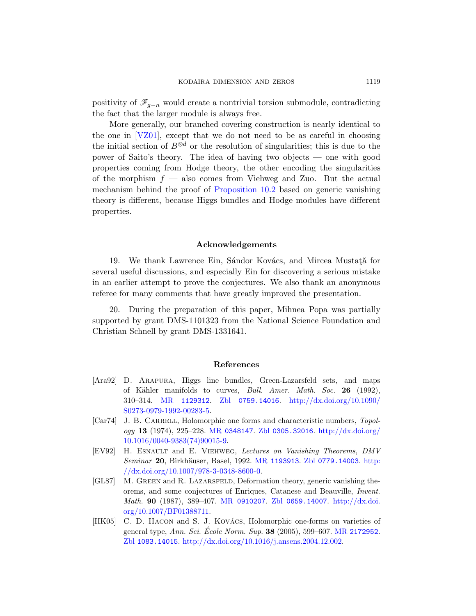positivity of  $\mathscr{F}_{q-n}$  would create a nontrivial torsion submodule, contradicting the fact that the larger module is always free.

Mor[e generally, our br](#page-5-4)anched covering construction is nearly identical to the one in [VZ01], except that we do not need to be as careful in choosing the initial section of  $B^{\otimes d}$  or the resolution of singularities; this is due to the power of Saito's theory. The idea of having two objects — one with good properties coming from Hodge theory, the other encoding the singularities of the morphism  $f$  — also comes from Viehweg and Zuo. But the actual mechanism behind the proof of Proposition 10.2 based on generic vanishing theory is different, because Higgs bundles and Hodge modules have different properties.

#### Acknowledgements

19. We thank Lawrence Ein, Sándor Kovács, and Mircea Mustată for several useful discussions, and especially Ein for discovering a serious mistake in an earlier attempt to prove the conjectures. We also thank an anonymous referee for many comments that have greatly improved the presentation.

<span id="page-10-2"></span>20. During the preparation of this paper, Mihnea Popa was partially supported by grant DMS-1101323 from the National Science Foundation and [Christian](http://www.ams.org/mathscinet-getitem?mr=1129312) [Schnell by grant D](http://www.zentralblatt-math.org/zmath/en/search/?q=an:0759.14016)[MS-1331641.](http://dx.doi.org/10.1090/S0273-0979-1992-00283-5)

#### [Ref](http://www.zentralblatt-math.org/zmath/en/search/?q=an:0305.32016)[erences](http://dx.doi.org/10.1016/0040-9383(74)90015-9)

- <span id="page-10-0"></span>[Ara92] [D. A](http://dx.doi.org/10.1016/0040-9383(74)90015-9)rapura, Higgs line bundles, Green-Lazarsfeld sets, and maps of Kähler [manifolds to](http://www.ams.org/mathscinet-getitem?mr=1193913) [curves,](http://www.zentralblatt-math.org/zmath/en/search/?q=an:0779.14003) *Bull. A[mer](http://dx.doi.org/10.1007/978-3-0348-8600-0). Math. Soc.* **26** (1992), [310–314.](http://dx.doi.org/10.1007/978-3-0348-8600-0) MR 1129312. Zbl 0759.14016. http://dx.doi.org/10.1090/ S0273-0979-1992-00283-5.
- [Car74] J. B. CARRELL, Holomorphic one forms and characteristic numbers, Topology 13 [\(1974\), 22](http://www.ams.org/mathscinet-getitem?mr=0910207)[5–228.](http://www.zentralblatt-math.org/zmath/en/search/?q=an:0659.14007) MR 0348147. Zbl [0305.3](http://dx.doi.org/10.1007/BF01388711)2016. http://dx.doi.org/ 10.1016/0040-9383(74)90015-9.
- <span id="page-10-1"></span>[\[EV92\]](http://dx.doi.org/10.1007/BF01388711) H. Esnault and E. Viehweg, Lectures on Vanishing Theorems, DMV Seminar 20, Birkhäuser, Basel, 1992. MR [119391](http://www.ams.org/mathscinet-getitem?mr=2172952)3. Zbl 0779.14003. http: [//dx.doi.org/10.1007/978-3-0348-8600-0](http://dx.doi.org/10.1016/j.ansens.2004.12.002).
- [\[](http://www.zentralblatt-math.org/zmath/en/search/?q=an:1083.14015)GL87] M. GREEN and R. LAZARSFELD, Deformation theory, generic vanishing theorems, and some conjectures of Enriques, Catanese and Beauville, Invent. Math. **90** (1987), 389–407. MR 0910207. Zbl 0659.14007. http://dx.doi. org/10.1007/BF01388711.
- [HK05] C. D. HACON and S. J. KOVÁCS, Holomorphic one-forms on varieties of general type, Ann. Sci. Ecole Norm. Sup. 38 (2005), 599–607. MR 2172952. Zbl 1083.14015. http://dx.doi.org/10.1016/j.ansens.2004.12.002.